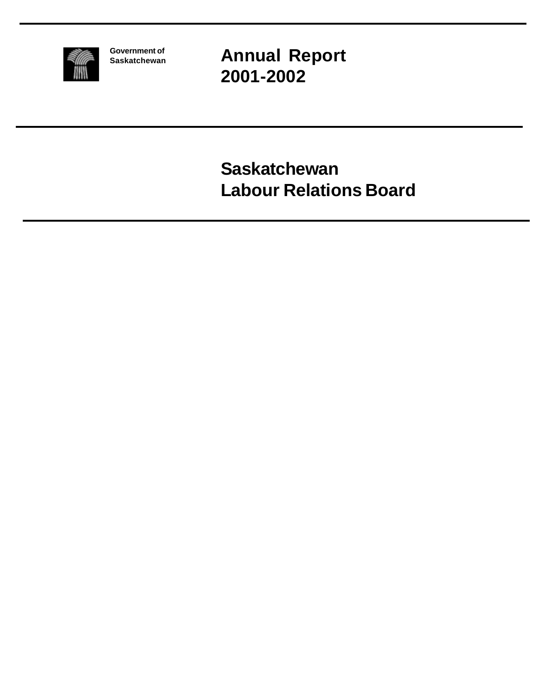

**Government of Saskatchewan** **Annual Report 2001-2002**

**Saskatchewan Labour Relations Board**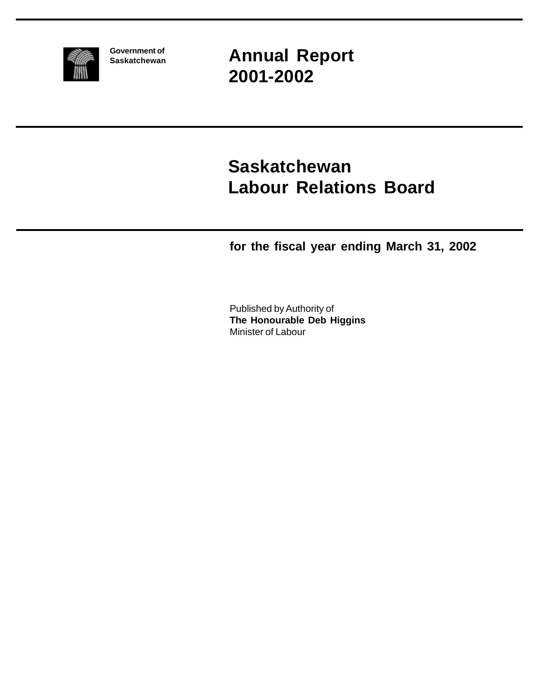

**Government of Saskatchewan** **Annual Report 2001-2002**

# **Saskatchewan Labour Relations Board**

**for the fiscal year ending March 31, 2002**

Published by Authority of **The Honourable Deb Higgins** Minister of Labour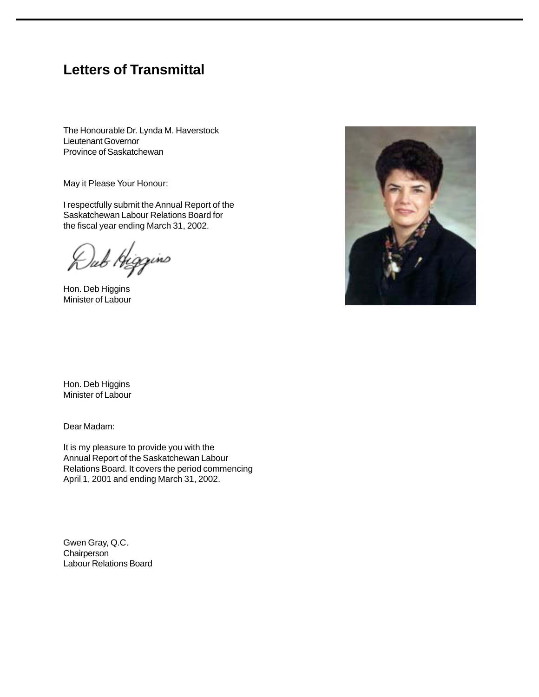### **Letters of Transmittal**

The Honourable Dr. Lynda M. Haverstock Lieutenant Governor Province of Saskatchewan

May it Please Your Honour:

I respectfully submit the Annual Report of the Saskatchewan Labour Relations Board for the fiscal year ending March 31, 2002.

)ub Higgins

Hon. Deb Higgins Minister of Labour



Hon. Deb Higgins Minister of Labour

Dear Madam:

It is my pleasure to provide you with the Annual Report of the Saskatchewan Labour Relations Board. It covers the period commencing April 1, 2001 and ending March 31, 2002.

Gwen Gray, Q.C. **Chairperson** Labour Relations Board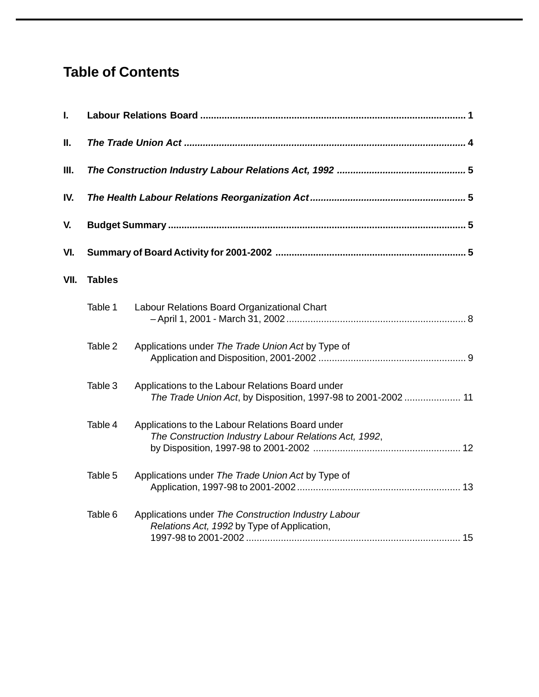### **Table of Contents**

| <b>Tables</b> |                                                                                                                   |  |
|---------------|-------------------------------------------------------------------------------------------------------------------|--|
| Table 1       | Labour Relations Board Organizational Chart                                                                       |  |
| Table 2       | Applications under The Trade Union Act by Type of                                                                 |  |
| Table 3       | Applications to the Labour Relations Board under<br>The Trade Union Act, by Disposition, 1997-98 to 2001-2002  11 |  |
| Table 4       | Applications to the Labour Relations Board under<br>The Construction Industry Labour Relations Act, 1992,         |  |
| Table 5       | Applications under The Trade Union Act by Type of                                                                 |  |
| Table 6       | Applications under The Construction Industry Labour<br>Relations Act, 1992 by Type of Application,                |  |
|               |                                                                                                                   |  |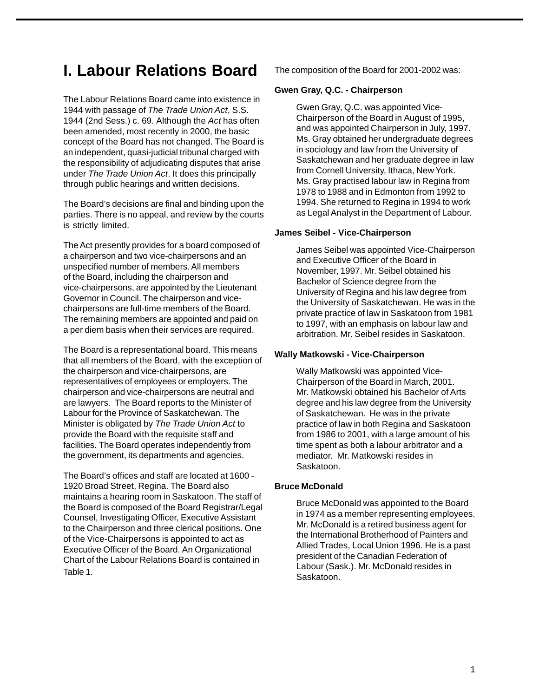# **I. Labour Relations Board**

The Labour Relations Board came into existence in 1944 with passage of The Trade Union Act, S.S. 1944 (2nd Sess.) c. 69. Although the Act has often been amended, most recently in 2000, the basic concept of the Board has not changed. The Board is an independent, quasi-judicial tribunal charged with the responsibility of adjudicating disputes that arise under The Trade Union Act. It does this principally through public hearings and written decisions.

The Board's decisions are final and binding upon the parties. There is no appeal, and review by the courts is strictly limited.

The Act presently provides for a board composed of a chairperson and two vice-chairpersons and an unspecified number of members. All members of the Board, including the chairperson and vice-chairpersons, are appointed by the Lieutenant Governor in Council. The chairperson and vicechairpersons are full-time members of the Board. The remaining members are appointed and paid on a per diem basis when their services are required.

The Board is a representational board. This means that all members of the Board, with the exception of the chairperson and vice-chairpersons, are representatives of employees or employers. The chairperson and vice-chairpersons are neutral and are lawyers. The Board reports to the Minister of Labour for the Province of Saskatchewan. The Minister is obligated by The Trade Union Act to provide the Board with the requisite staff and facilities. The Board operates independently from the government, its departments and agencies.

The Board's offices and staff are located at 1600 - 1920 Broad Street, Regina. The Board also maintains a hearing room in Saskatoon. The staff of the Board is composed of the Board Registrar/Legal Counsel, Investigating Officer, Executive Assistant to the Chairperson and three clerical positions. One of the Vice-Chairpersons is appointed to act as Executive Officer of the Board. An Organizational Chart of the Labour Relations Board is contained in Table 1.

The composition of the Board for 2001-2002 was:

#### **Gwen Gray, Q.C. - Chairperson**

Gwen Gray, Q.C. was appointed Vice-Chairperson of the Board in August of 1995, and was appointed Chairperson in July, 1997. Ms. Gray obtained her undergraduate degrees in sociology and law from the University of Saskatchewan and her graduate degree in law from Cornell University, Ithaca, New York. Ms. Gray practised labour law in Regina from 1978 to 1988 and in Edmonton from 1992 to 1994. She returned to Regina in 1994 to work as Legal Analyst in the Department of Labour.

#### **James Seibel - Vice-Chairperson**

James Seibel was appointed Vice-Chairperson and Executive Officer of the Board in November, 1997. Mr. Seibel obtained his Bachelor of Science degree from the University of Regina and his law degree from the University of Saskatchewan. He was in the private practice of law in Saskatoon from 1981 to 1997, with an emphasis on labour law and arbitration. Mr. Seibel resides in Saskatoon.

#### **Wally Matkowski - Vice-Chairperson**

Wally Matkowski was appointed Vice-Chairperson of the Board in March, 2001. Mr. Matkowski obtained his Bachelor of Arts degree and his law degree from the University of Saskatchewan. He was in the private practice of law in both Regina and Saskatoon from 1986 to 2001, with a large amount of his time spent as both a labour arbitrator and a mediator. Mr. Matkowski resides in Saskatoon.

#### **Bruce McDonald**

Bruce McDonald was appointed to the Board in 1974 as a member representing employees. Mr. McDonald is a retired business agent for the International Brotherhood of Painters and Allied Trades, Local Union 1996. He is a past president of the Canadian Federation of Labour (Sask.). Mr. McDonald resides in Saskatoon.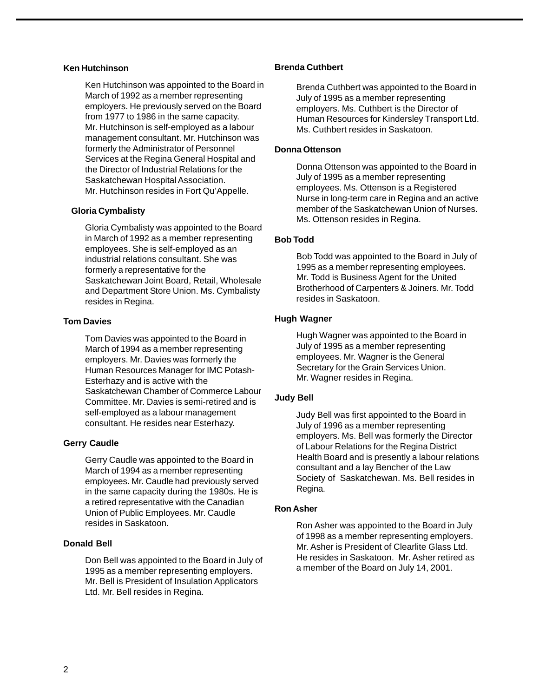#### **Ken Hutchinson**

Ken Hutchinson was appointed to the Board in March of 1992 as a member representing employers. He previously served on the Board from 1977 to 1986 in the same capacity. Mr. Hutchinson is self-employed as a labour management consultant. Mr. Hutchinson was formerly the Administrator of Personnel Services at the Regina General Hospital and the Director of Industrial Relations for the Saskatchewan Hospital Association. Mr. Hutchinson resides in Fort Qu'Appelle.

#### **Gloria Cymbalisty**

Gloria Cymbalisty was appointed to the Board in March of 1992 as a member representing employees. She is self-employed as an industrial relations consultant. She was formerly a representative for the Saskatchewan Joint Board, Retail, Wholesale and Department Store Union. Ms. Cymbalisty resides in Regina.

#### **Tom Davies**

Tom Davies was appointed to the Board in March of 1994 as a member representing employers. Mr. Davies was formerly the Human Resources Manager for IMC Potash-Esterhazy and is active with the Saskatchewan Chamber of Commerce Labour Committee. Mr. Davies is semi-retired and is self-employed as a labour management consultant. He resides near Esterhazy.

#### **Gerry Caudle**

Gerry Caudle was appointed to the Board in March of 1994 as a member representing employees. Mr. Caudle had previously served in the same capacity during the 1980s. He is a retired representative with the Canadian Union of Public Employees. Mr. Caudle resides in Saskatoon.

#### **Donald Bell**

Don Bell was appointed to the Board in July of 1995 as a member representing employers. Mr. Bell is President of Insulation Applicators Ltd. Mr. Bell resides in Regina.

#### **Brenda Cuthbert**

Brenda Cuthbert was appointed to the Board in July of 1995 as a member representing employers. Ms. Cuthbert is the Director of Human Resources for Kindersley Transport Ltd. Ms. Cuthbert resides in Saskatoon.

#### **Donna Ottenson**

Donna Ottenson was appointed to the Board in July of 1995 as a member representing employees. Ms. Ottenson is a Registered Nurse in long-term care in Regina and an active member of the Saskatchewan Union of Nurses. Ms. Ottenson resides in Regina.

#### **Bob Todd**

Bob Todd was appointed to the Board in July of 1995 as a member representing employees. Mr. Todd is Business Agent for the United Brotherhood of Carpenters & Joiners. Mr. Todd resides in Saskatoon.

#### **Hugh Wagner**

Hugh Wagner was appointed to the Board in July of 1995 as a member representing employees. Mr. Wagner is the General Secretary for the Grain Services Union. Mr. Wagner resides in Regina.

#### **Judy Bell**

Judy Bell was first appointed to the Board in July of 1996 as a member representing employers. Ms. Bell was formerly the Director of Labour Relations for the Regina District Health Board and is presently a labour relations consultant and a lay Bencher of the Law Society of Saskatchewan. Ms. Bell resides in Regina.

#### **Ron Asher**

Ron Asher was appointed to the Board in July of 1998 as a member representing employers. Mr. Asher is President of Clearlite Glass Ltd. He resides in Saskatoon. Mr. Asher retired as a member of the Board on July 14, 2001.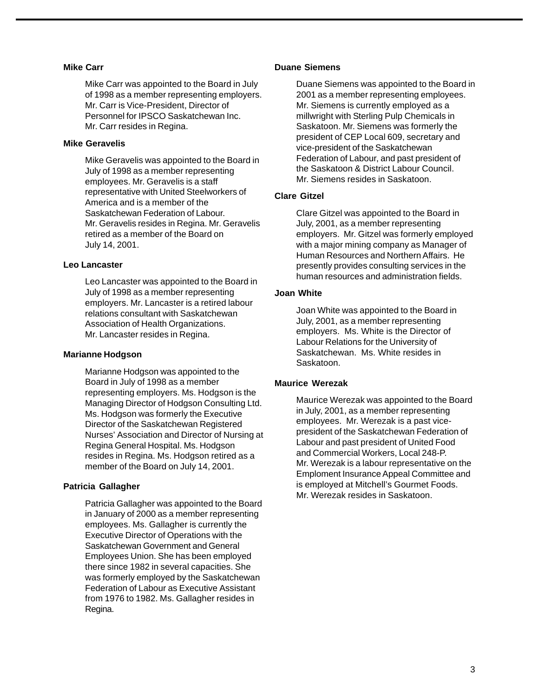#### **Mike Carr**

Mike Carr was appointed to the Board in July of 1998 as a member representing employers. Mr. Carr is Vice-President, Director of Personnel for IPSCO Saskatchewan Inc. Mr. Carr resides in Regina.

#### **Mike Geravelis**

Mike Geravelis was appointed to the Board in July of 1998 as a member representing employees. Mr. Geravelis is a staff representative with United Steelworkers of America and is a member of the Saskatchewan Federation of Labour. Mr. Geravelis resides in Regina. Mr. Geravelis retired as a member of the Board on July 14, 2001.

#### **Leo Lancaster**

Leo Lancaster was appointed to the Board in July of 1998 as a member representing employers. Mr. Lancaster is a retired labour relations consultant with Saskatchewan Association of Health Organizations. Mr. Lancaster resides in Regina.

#### **Marianne Hodgson**

Marianne Hodgson was appointed to the Board in July of 1998 as a member representing employers. Ms. Hodgson is the Managing Director of Hodgson Consulting Ltd. Ms. Hodgson was formerly the Executive Director of the Saskatchewan Registered Nurses' Association and Director of Nursing at Regina General Hospital. Ms. Hodgson resides in Regina. Ms. Hodgson retired as a member of the Board on July 14, 2001.

#### **Patricia Gallagher**

Patricia Gallagher was appointed to the Board in January of 2000 as a member representing employees. Ms. Gallagher is currently the Executive Director of Operations with the Saskatchewan Government and General Employees Union. She has been employed there since 1982 in several capacities. She was formerly employed by the Saskatchewan Federation of Labour as Executive Assistant from 1976 to 1982. Ms. Gallagher resides in Regina.

#### **Duane Siemens**

Duane Siemens was appointed to the Board in 2001 as a member representing employees. Mr. Siemens is currently employed as a millwright with Sterling Pulp Chemicals in Saskatoon. Mr. Siemens was formerly the president of CEP Local 609, secretary and vice-president of the Saskatchewan Federation of Labour, and past president of the Saskatoon & District Labour Council. Mr. Siemens resides in Saskatoon.

#### **Clare Gitzel**

Clare Gitzel was appointed to the Board in July, 2001, as a member representing employers. Mr. Gitzel was formerly employed with a major mining company as Manager of Human Resources and Northern Affairs. He presently provides consulting services in the human resources and administration fields.

#### **Joan White**

Joan White was appointed to the Board in July, 2001, as a member representing employers. Ms. White is the Director of Labour Relations for the University of Saskatchewan. Ms. White resides in Saskatoon.

#### **Maurice Werezak**

Maurice Werezak was appointed to the Board in July, 2001, as a member representing employees. Mr. Werezak is a past vicepresident of the Saskatchewan Federation of Labour and past president of United Food and Commercial Workers, Local 248-P. Mr. Werezak is a labour representative on the Emploment Insurance Appeal Committee and is employed at Mitchell's Gourmet Foods. Mr. Werezak resides in Saskatoon.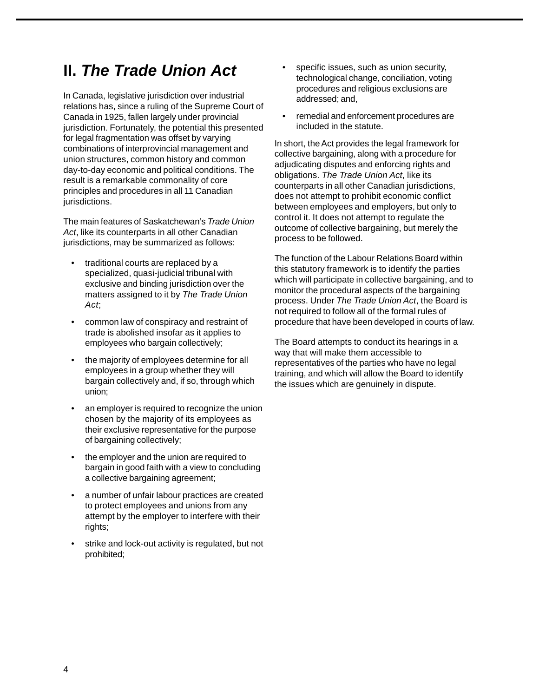### **II. The Trade Union Act**

In Canada, legislative jurisdiction over industrial relations has, since a ruling of the Supreme Court of Canada in 1925, fallen largely under provincial jurisdiction. Fortunately, the potential this presented for legal fragmentation was offset by varying combinations of interprovincial management and union structures, common history and common day-to-day economic and political conditions. The result is a remarkable commonality of core principles and procedures in all 11 Canadian jurisdictions.

The main features of Saskatchewan's Trade Union Act, like its counterparts in all other Canadian jurisdictions, may be summarized as follows:

- traditional courts are replaced by a specialized, quasi-judicial tribunal with exclusive and binding jurisdiction over the matters assigned to it by The Trade Union Act;
- common law of conspiracy and restraint of trade is abolished insofar as it applies to employees who bargain collectively;
- the majority of employees determine for all employees in a group whether they will bargain collectively and, if so, through which union;
- an employer is required to recognize the union chosen by the majority of its employees as their exclusive representative for the purpose of bargaining collectively;
- the employer and the union are required to bargain in good faith with a view to concluding a collective bargaining agreement;
- a number of unfair labour practices are created to protect employees and unions from any attempt by the employer to interfere with their rights;
- strike and lock-out activity is regulated, but not prohibited;
- specific issues, such as union security, technological change, conciliation, voting procedures and religious exclusions are addressed; and,
- remedial and enforcement procedures are included in the statute.

In short, the Act provides the legal framework for collective bargaining, along with a procedure for adjudicating disputes and enforcing rights and obligations. The Trade Union Act, like its counterparts in all other Canadian jurisdictions, does not attempt to prohibit economic conflict between employees and employers, but only to control it. It does not attempt to regulate the outcome of collective bargaining, but merely the process to be followed.

The function of the Labour Relations Board within this statutory framework is to identify the parties which will participate in collective bargaining, and to monitor the procedural aspects of the bargaining process. Under The Trade Union Act, the Board is not required to follow all of the formal rules of procedure that have been developed in courts of law.

The Board attempts to conduct its hearings in a way that will make them accessible to representatives of the parties who have no legal training, and which will allow the Board to identify the issues which are genuinely in dispute.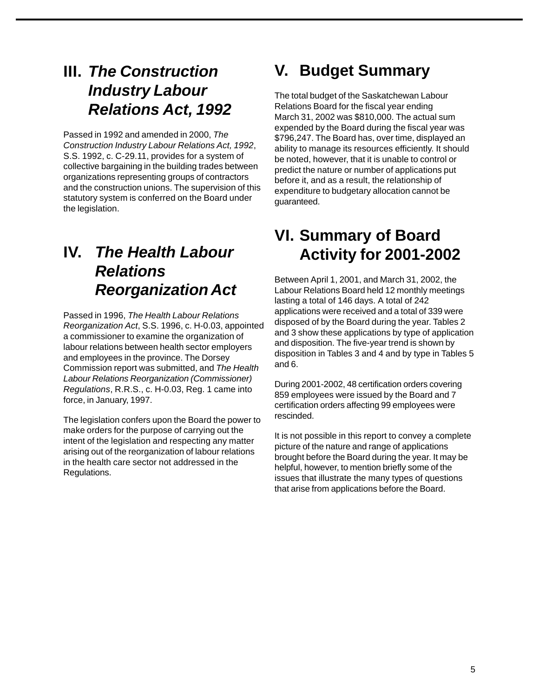### **III. The Construction Industry Labour Relations Act, 1992**

Passed in 1992 and amended in 2000, The Construction Industry Labour Relations Act, 1992, S.S. 1992, c. C-29.11, provides for a system of collective bargaining in the building trades between organizations representing groups of contractors and the construction unions. The supervision of this statutory system is conferred on the Board under the legislation.

# **IV. The Health Labour Relations Reorganization Act**

Passed in 1996, The Health Labour Relations Reorganization Act, S.S. 1996, c. H-0.03, appointed a commissioner to examine the organization of labour relations between health sector employers and employees in the province. The Dorsey Commission report was submitted, and The Health Labour Relations Reorganization (Commissioner) Regulations, R.R.S., c. H-0.03, Reg. 1 came into force, in January, 1997.

The legislation confers upon the Board the power to make orders for the purpose of carrying out the intent of the legislation and respecting any matter arising out of the reorganization of labour relations in the health care sector not addressed in the Regulations.

# **V. Budget Summary**

The total budget of the Saskatchewan Labour Relations Board for the fiscal year ending March 31, 2002 was \$810,000. The actual sum expended by the Board during the fiscal year was \$796,247. The Board has, over time, displayed an ability to manage its resources efficiently. It should be noted, however, that it is unable to control or predict the nature or number of applications put before it, and as a result, the relationship of expenditure to budgetary allocation cannot be guaranteed.

# **VI. Summary of Board Activity for 2001-2002**

Between April 1, 2001, and March 31, 2002, the Labour Relations Board held 12 monthly meetings lasting a total of 146 days. A total of 242 applications were received and a total of 339 were disposed of by the Board during the year. Tables 2 and 3 show these applications by type of application and disposition. The five-year trend is shown by disposition in Tables 3 and 4 and by type in Tables 5 and 6.

During 2001-2002, 48 certification orders covering 859 employees were issued by the Board and 7 certification orders affecting 99 employees were rescinded.

It is not possible in this report to convey a complete picture of the nature and range of applications brought before the Board during the year. It may be helpful, however, to mention briefly some of the issues that illustrate the many types of questions that arise from applications before the Board.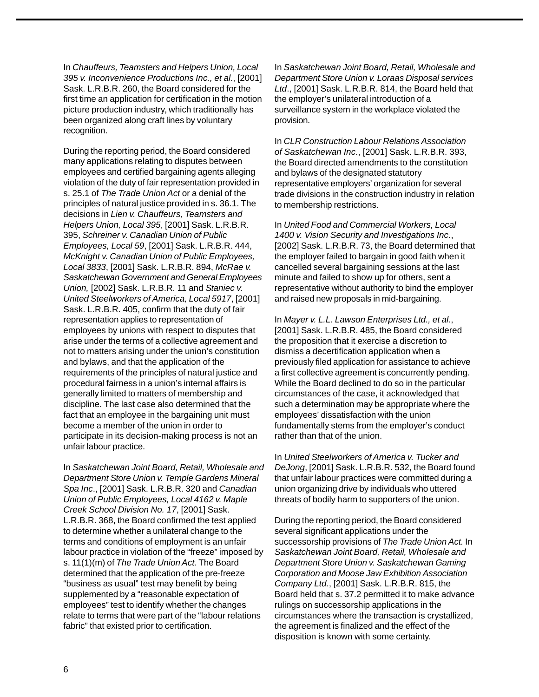In Chauffeurs, Teamsters and Helpers Union, Local 395 v. Inconvenience Productions Inc., et al., [2001] Sask. L.R.B.R. 260, the Board considered for the first time an application for certification in the motion picture production industry, which traditionally has been organized along craft lines by voluntary recognition.

During the reporting period, the Board considered many applications relating to disputes between employees and certified bargaining agents alleging violation of the duty of fair representation provided in s. 25.1 of The Trade Union Act or a denial of the principles of natural justice provided in s. 36.1. The decisions in Lien v. Chauffeurs, Teamsters and Helpers Union, Local 395, [2001] Sask. L.R.B.R. 395, Schreiner v. Canadian Union of Public Employees, Local 59, [2001] Sask. L.R.B.R. 444, McKnight v. Canadian Union of Public Employees, Local 3833, [2001] Sask. L.R.B.R. 894, McRae v. Saskatchewan Government and General Employees Union, [2002] Sask. L.R.B.R. 11 and Staniec v. United Steelworkers of America, Local 5917, [2001] Sask. L.R.B.R. 405, confirm that the duty of fair representation applies to representation of employees by unions with respect to disputes that arise under the terms of a collective agreement and not to matters arising under the union's constitution and bylaws, and that the application of the requirements of the principles of natural justice and procedural fairness in a union's internal affairs is generally limited to matters of membership and discipline. The last case also determined that the fact that an employee in the bargaining unit must become a member of the union in order to participate in its decision-making process is not an unfair labour practice.

In Saskatchewan Joint Board, Retail, Wholesale and Department Store Union v. Temple Gardens Mineral Spa Inc., [2001] Sask. L.R.B.R. 320 and Canadian Union of Public Employees, Local 4162 v. Maple Creek School Division No. 17, [2001] Sask. L.R.B.R. 368, the Board confirmed the test applied to determine whether a unilateral change to the terms and conditions of employment is an unfair labour practice in violation of the "freeze" imposed by s. 11(1)(m) of The Trade Union Act. The Board determined that the application of the pre-freeze "business as usual" test may benefit by being supplemented by a "reasonable expectation of employees" test to identify whether the changes relate to terms that were part of the "labour relations fabric" that existed prior to certification.

In Saskatchewan Joint Board, Retail, Wholesale and Department Store Union v. Loraas Disposal services Ltd., [2001] Sask. L.R.B.R. 814, the Board held that the employer's unilateral introduction of a surveillance system in the workplace violated the provision.

In CLR Construction Labour Relations Association of Saskatchewan Inc., [2001] Sask. L.R.B.R. 393, the Board directed amendments to the constitution and bylaws of the designated statutory representative employers' organization for several trade divisions in the construction industry in relation to membership restrictions.

In United Food and Commercial Workers, Local 1400 v. Vision Security and Investigations Inc., [2002] Sask. L.R.B.R. 73, the Board determined that the employer failed to bargain in good faith when it cancelled several bargaining sessions at the last minute and failed to show up for others, sent a representative without authority to bind the employer and raised new proposals in mid-bargaining.

In Mayer v. L.L. Lawson Enterprises Ltd., et al., [2001] Sask. L.R.B.R. 485, the Board considered the proposition that it exercise a discretion to dismiss a decertification application when a previously filed application for assistance to achieve a first collective agreement is concurrently pending. While the Board declined to do so in the particular circumstances of the case, it acknowledged that such a determination may be appropriate where the employees' dissatisfaction with the union fundamentally stems from the employer's conduct rather than that of the union.

In United Steelworkers of America v. Tucker and DeJong, [2001] Sask. L.R.B.R. 532, the Board found that unfair labour practices were committed during a union organizing drive by individuals who uttered threats of bodily harm to supporters of the union.

During the reporting period, the Board considered several significant applications under the successorship provisions of The Trade Union Act. In Saskatchewan Joint Board, Retail, Wholesale and Department Store Union v. Saskatchewan Gaming Corporation and Moose Jaw Exhibition Association Company Ltd., [2001] Sask. L.R.B.R. 815, the Board held that s. 37.2 permitted it to make advance rulings on successorship applications in the circumstances where the transaction is crystallized, the agreement is finalized and the effect of the disposition is known with some certainty.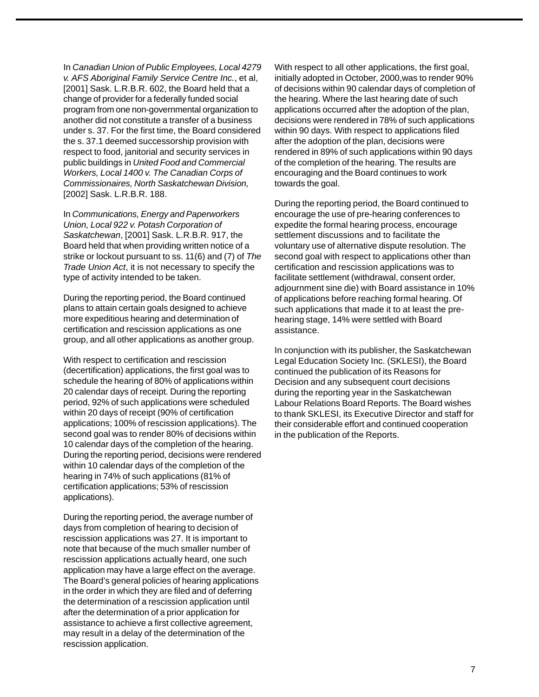In Canadian Union of Public Employees, Local 4279 v. AFS Aboriginal Family Service Centre Inc., et al, [2001] Sask. L.R.B.R. 602, the Board held that a change of provider for a federally funded social program from one non-governmental organization to another did not constitute a transfer of a business under s. 37. For the first time, the Board considered the s. 37.1 deemed successorship provision with respect to food, janitorial and security services in public buildings in United Food and Commercial Workers, Local 1400 v. The Canadian Corps of Commissionaires, North Saskatchewan Division, [2002] Sask. L.R.B.R. 188.

In Communications, Energy and Paperworkers Union, Local 922 v. Potash Corporation of Saskatchewan, [2001] Sask. L.R.B.R. 917, the Board held that when providing written notice of a strike or lockout pursuant to ss. 11(6) and (7) of The Trade Union Act, it is not necessary to specify the type of activity intended to be taken.

During the reporting period, the Board continued plans to attain certain goals designed to achieve more expeditious hearing and determination of certification and rescission applications as one group, and all other applications as another group.

With respect to certification and rescission (decertification) applications, the first goal was to schedule the hearing of 80% of applications within 20 calendar days of receipt. During the reporting period, 92% of such applications were scheduled within 20 days of receipt (90% of certification applications; 100% of rescission applications). The second goal was to render 80% of decisions within 10 calendar days of the completion of the hearing. During the reporting period, decisions were rendered within 10 calendar days of the completion of the hearing in 74% of such applications (81% of certification applications; 53% of rescission applications).

During the reporting period, the average number of days from completion of hearing to decision of rescission applications was 27. It is important to note that because of the much smaller number of rescission applications actually heard, one such application may have a large effect on the average. The Board's general policies of hearing applications in the order in which they are filed and of deferring the determination of a rescission application until after the determination of a prior application for assistance to achieve a first collective agreement, may result in a delay of the determination of the rescission application.

With respect to all other applications, the first goal, initially adopted in October, 2000,was to render 90% of decisions within 90 calendar days of completion of the hearing. Where the last hearing date of such applications occurred after the adoption of the plan, decisions were rendered in 78% of such applications within 90 days. With respect to applications filed after the adoption of the plan, decisions were rendered in 89% of such applications within 90 days of the completion of the hearing. The results are encouraging and the Board continues to work towards the goal.

During the reporting period, the Board continued to encourage the use of pre-hearing conferences to expedite the formal hearing process, encourage settlement discussions and to facilitate the voluntary use of alternative dispute resolution. The second goal with respect to applications other than certification and rescission applications was to facilitate settlement (withdrawal, consent order, adjournment sine die) with Board assistance in 10% of applications before reaching formal hearing. Of such applications that made it to at least the prehearing stage, 14% were settled with Board assistance.

In conjunction with its publisher, the Saskatchewan Legal Education Society Inc. (SKLESI), the Board continued the publication of its Reasons for Decision and any subsequent court decisions during the reporting year in the Saskatchewan Labour Relations Board Reports. The Board wishes to thank SKLESI, its Executive Director and staff for their considerable effort and continued cooperation in the publication of the Reports.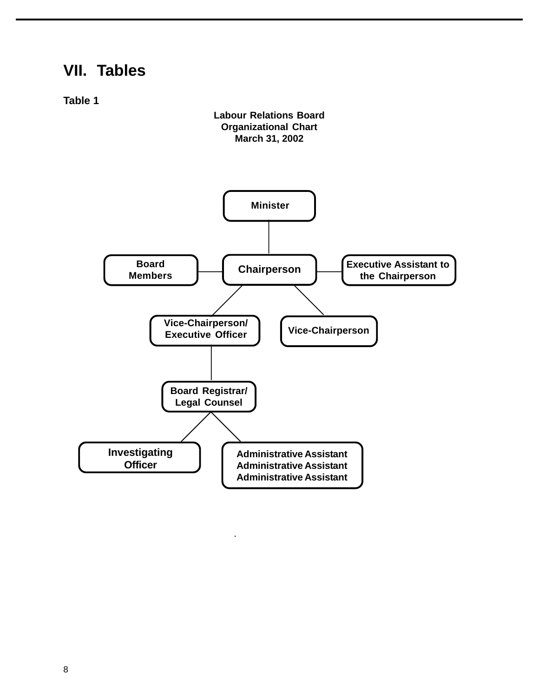### **VII. Tables**

**Table 1**

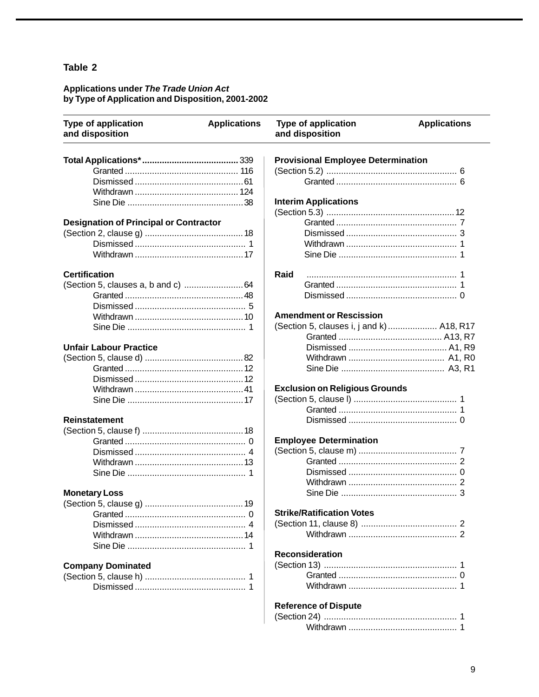# Applications under The Trade Union Act<br>by Type of Application and Disposition, 2001-2002

| <b>Type of application</b><br>and disposition | <b>Applications</b> | <b>Type of application</b><br>and disposition | <b>Applications</b> |  |  |  |
|-----------------------------------------------|---------------------|-----------------------------------------------|---------------------|--|--|--|
|                                               |                     | <b>Provisional Employee Determination</b>     |                     |  |  |  |
|                                               |                     |                                               |                     |  |  |  |
|                                               |                     |                                               |                     |  |  |  |
|                                               |                     |                                               |                     |  |  |  |
|                                               |                     | <b>Interim Applications</b>                   |                     |  |  |  |
|                                               |                     |                                               |                     |  |  |  |
| <b>Designation of Principal or Contractor</b> |                     |                                               |                     |  |  |  |
|                                               |                     |                                               |                     |  |  |  |
|                                               |                     |                                               |                     |  |  |  |
|                                               |                     |                                               |                     |  |  |  |
| <b>Certification</b>                          |                     | Raid                                          |                     |  |  |  |
|                                               |                     |                                               |                     |  |  |  |
|                                               |                     |                                               |                     |  |  |  |
|                                               |                     |                                               |                     |  |  |  |
|                                               |                     | <b>Amendment or Rescission</b>                |                     |  |  |  |
|                                               |                     | (Section 5, clauses i, j and k) A18, R17      |                     |  |  |  |
|                                               |                     |                                               |                     |  |  |  |
| <b>Unfair Labour Practice</b>                 |                     |                                               |                     |  |  |  |
|                                               |                     |                                               |                     |  |  |  |
|                                               |                     |                                               |                     |  |  |  |
|                                               |                     |                                               |                     |  |  |  |
|                                               |                     | <b>Exclusion on Religious Grounds</b>         |                     |  |  |  |
|                                               |                     |                                               |                     |  |  |  |
|                                               |                     |                                               |                     |  |  |  |
| <b>Reinstatement</b>                          |                     |                                               |                     |  |  |  |
|                                               |                     |                                               |                     |  |  |  |
|                                               |                     | <b>Employee Determination</b>                 |                     |  |  |  |
|                                               |                     |                                               |                     |  |  |  |
|                                               |                     |                                               |                     |  |  |  |
|                                               |                     |                                               |                     |  |  |  |
|                                               |                     |                                               |                     |  |  |  |
| <b>Monetary Loss</b>                          |                     |                                               |                     |  |  |  |
| (Section 5, clause g)                         | 19                  |                                               |                     |  |  |  |
|                                               |                     | <b>Strike/Ratification Votes</b>              |                     |  |  |  |
|                                               |                     |                                               |                     |  |  |  |
|                                               |                     |                                               |                     |  |  |  |
|                                               |                     |                                               |                     |  |  |  |
|                                               |                     | <b>Reconsideration</b>                        |                     |  |  |  |
| <b>Company Dominated</b>                      |                     |                                               |                     |  |  |  |
|                                               |                     |                                               |                     |  |  |  |
|                                               |                     |                                               |                     |  |  |  |
|                                               |                     | <b>Reference of Dispute</b>                   |                     |  |  |  |
|                                               |                     |                                               |                     |  |  |  |
|                                               |                     |                                               |                     |  |  |  |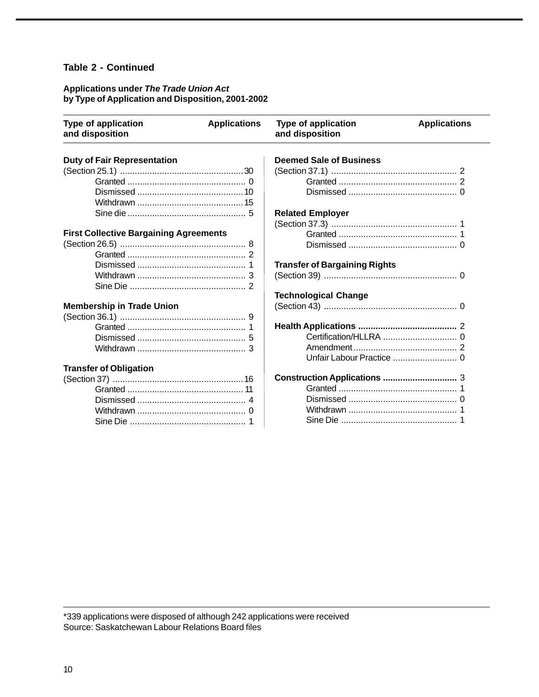#### **Table 2 - Continued**

#### **Applications under The Trade Union Act by Type of Application and Disposition, 2001-2002**

| <b>Type of application</b><br>and disposition | <b>Applications</b> | <b>Type of application</b><br>and disposition | <b>Applications</b> |
|-----------------------------------------------|---------------------|-----------------------------------------------|---------------------|
| <b>Duty of Fair Representation</b>            |                     | <b>Deemed Sale of Business</b>                |                     |
|                                               |                     |                                               |                     |
|                                               |                     |                                               |                     |
|                                               |                     |                                               |                     |
|                                               |                     |                                               |                     |
|                                               |                     | <b>Related Employer</b>                       |                     |
|                                               |                     |                                               |                     |
| <b>First Collective Bargaining Agreements</b> |                     |                                               |                     |
|                                               |                     |                                               |                     |
|                                               |                     |                                               |                     |
|                                               |                     | <b>Transfer of Bargaining Rights</b>          |                     |
|                                               |                     |                                               |                     |
|                                               |                     |                                               |                     |
|                                               |                     | <b>Technological Change</b>                   |                     |
| <b>Membership in Trade Union</b>              |                     |                                               |                     |
|                                               |                     |                                               |                     |
|                                               |                     |                                               |                     |
|                                               |                     |                                               |                     |
|                                               |                     |                                               |                     |
|                                               |                     |                                               |                     |
| <b>Transfer of Obligation</b>                 |                     |                                               |                     |
|                                               |                     |                                               |                     |
|                                               |                     |                                               |                     |
|                                               |                     |                                               |                     |
|                                               |                     |                                               |                     |
|                                               |                     |                                               |                     |

\*339 applications were disposed of although 242 applications were received Source: Saskatchewan Labour Relations Board files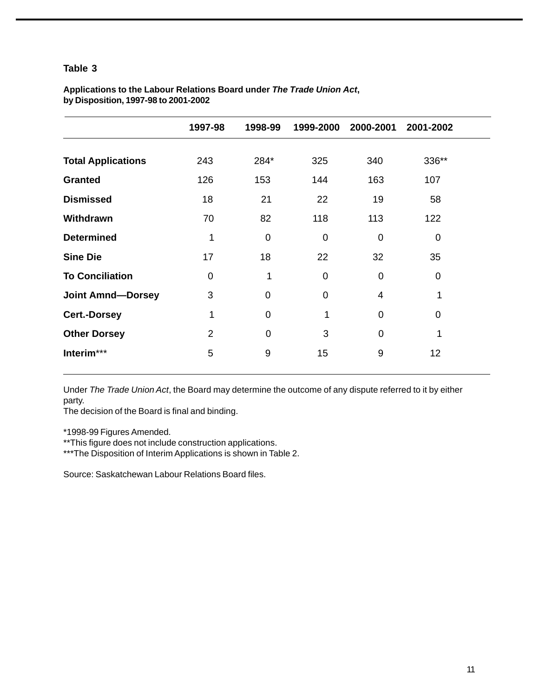|                           | 1997-98        | 1998-99        | 1999-2000      | 2000-2001      | 2001-2002   |
|---------------------------|----------------|----------------|----------------|----------------|-------------|
| <b>Total Applications</b> | 243            | 284*           | 325            | 340            | 336**       |
| <b>Granted</b>            | 126            | 153            | 144            | 163            | 107         |
| <b>Dismissed</b>          | 18             | 21             | 22             | 19             | 58          |
| Withdrawn                 | 70             | 82             | 118            | 113            | 122         |
| <b>Determined</b>         | 1              | $\overline{0}$ | $\Omega$       | $\Omega$       | 0           |
| <b>Sine Die</b>           | 17             | 18             | 22             | 32             | 35          |
| <b>To Conciliation</b>    | $\overline{0}$ | 1              | $\overline{0}$ | $\overline{0}$ | $\mathbf 0$ |
| <b>Joint Amnd-Dorsey</b>  | 3              | $\mathbf 0$    | 0              | 4              | 1           |
| <b>Cert.-Dorsey</b>       | 1              | $\Omega$       | 1              | $\overline{0}$ | 0           |
| <b>Other Dorsey</b>       | $\overline{2}$ | $\Omega$       | 3              | $\Omega$       | 1           |
| Interim***                | 5              | 9              | 15             | 9              | 12          |
|                           |                |                |                |                |             |

#### **Applications to the Labour Relations Board under The Trade Union Act, by Disposition, 1997-98 to 2001-2002**

Under The Trade Union Act, the Board may determine the outcome of any dispute referred to it by either party.

The decision of the Board is final and binding.

\*1998-99 Figures Amended.

\*\*This figure does not include construction applications.

\*\*\*The Disposition of Interim Applications is shown in Table 2.

Source: Saskatchewan Labour Relations Board files.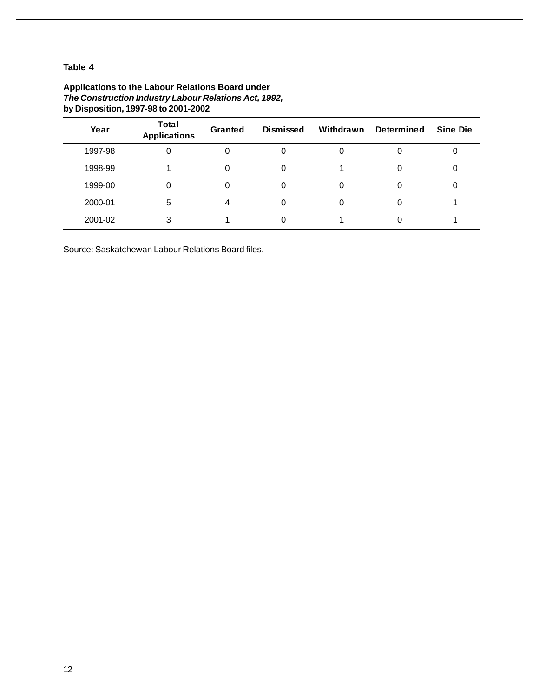| Year    | <b>Total</b><br><b>Applications</b> | Granted | Dismissed | Withdrawn | <b>Determined</b> | <b>Sine Die</b> |
|---------|-------------------------------------|---------|-----------|-----------|-------------------|-----------------|
| 1997-98 | 0                                   | 0       | 0         |           | 0                 | 0               |
| 1998-99 |                                     | 0       | 0         |           | 0                 | 0               |
| 1999-00 | 0                                   | 0       | 0         |           | 0                 | 0               |
| 2000-01 | 5                                   | 4       | 0         |           | 0                 |                 |
| 2001-02 | 3                                   |         |           |           | 0                 |                 |

#### **Applications to the Labour Relations Board under The Construction Industry Labour Relations Act, 1992, by Disposition, 1997-98 to 2001-2002**

Source: Saskatchewan Labour Relations Board files.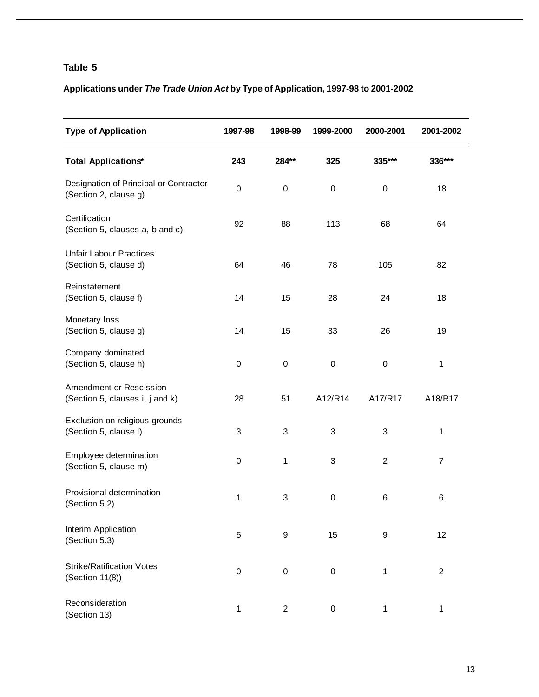### **Applications under The Trade Union Act by Type of Application, 1997-98 to 2001-2002**

| <b>Type of Application</b>                                      | 1997-98     | 1998-99          | 1999-2000 | 2000-2001      | 2001-2002      |
|-----------------------------------------------------------------|-------------|------------------|-----------|----------------|----------------|
| <b>Total Applications*</b>                                      | 243         | 284**            | 325       | 335***         | 336***         |
| Designation of Principal or Contractor<br>(Section 2, clause g) | $\mathsf 0$ | $\pmb{0}$        | 0         | $\pmb{0}$      | 18             |
| Certification<br>(Section 5, clauses a, b and c)                | 92          | 88               | 113       | 68             | 64             |
| <b>Unfair Labour Practices</b><br>(Section 5, clause d)         | 64          | 46               | 78        | 105            | 82             |
| Reinstatement<br>(Section 5, clause f)                          | 14          | 15               | 28        | 24             | 18             |
| Monetary loss<br>(Section 5, clause g)                          | 14          | 15               | 33        | 26             | 19             |
| Company dominated<br>(Section 5, clause h)                      | 0           | $\pmb{0}$        | $\pmb{0}$ | $\pmb{0}$      | 1              |
| Amendment or Rescission<br>(Section 5, clauses i, j and k)      | 28          | 51               | A12/R14   | A17/R17        | A18/R17        |
| Exclusion on religious grounds<br>(Section 5, clause I)         | 3           | 3                | 3         | 3              | 1              |
| Employee determination<br>(Section 5, clause m)                 | 0           | 1                | 3         | $\overline{2}$ | 7              |
| Provisional determination<br>(Section 5.2)                      | 1           | 3                | 0         | 6              | 6              |
| Interim Application<br>(Section 5.3)                            | 5           | 9                | 15        | 9              | 12             |
| <b>Strike/Ratification Votes</b><br>(Section 11(8))             | 0           | $\boldsymbol{0}$ | 0         | 1              | $\overline{2}$ |
| Reconsideration<br>(Section 13)                                 | 1           | $\overline{2}$   | 0         | 1              | 1              |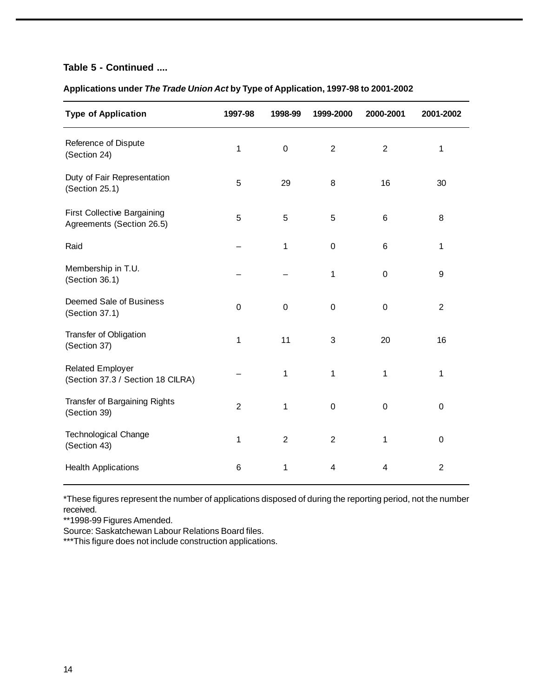#### **Table 5 - Continued ....**

| <b>Type of Application</b>                                      | 1997-98        | 1998-99        | 1999-2000      | 2000-2001        | 2001-2002      |
|-----------------------------------------------------------------|----------------|----------------|----------------|------------------|----------------|
| Reference of Dispute<br>(Section 24)                            | 1              | $\pmb{0}$      | $\overline{2}$ | $\overline{2}$   | 1              |
| Duty of Fair Representation<br>(Section 25.1)                   | 5              | 29             | 8              | 16               | 30             |
| <b>First Collective Bargaining</b><br>Agreements (Section 26.5) | 5              | 5              | 5              | $\,6$            | 8              |
| Raid                                                            |                | 1              | 0              | $\,6$            | 1              |
| Membership in T.U.<br>(Section 36.1)                            |                |                | 1              | $\boldsymbol{0}$ | 9              |
| Deemed Sale of Business<br>(Section 37.1)                       | $\mathbf 0$    | $\mathbf 0$    | $\mathbf 0$    | $\mathbf 0$      | $\overline{2}$ |
| Transfer of Obligation<br>(Section 37)                          | 1              | 11             | 3              | 20               | 16             |
| <b>Related Employer</b><br>(Section 37.3 / Section 18 CILRA)    |                | 1              | 1              | $\mathbf{1}$     | 1              |
| Transfer of Bargaining Rights<br>(Section 39)                   | $\overline{2}$ | 1              | $\pmb{0}$      | $\mathbf 0$      | $\pmb{0}$      |
| Technological Change<br>(Section 43)                            | $\mathbf{1}$   | $\overline{2}$ | $\overline{2}$ | 1                | 0              |
| <b>Health Applications</b>                                      | 6              | 1              | 4              | 4                | $\overline{2}$ |

#### **Applications under The Trade Union Act by Type of Application, 1997-98 to 2001-2002**

\*These figures represent the number of applications disposed of during the reporting period, not the number received.

\*\*1998-99 Figures Amended.

Source: Saskatchewan Labour Relations Board files.

\*\*\*This figure does not include construction applications.